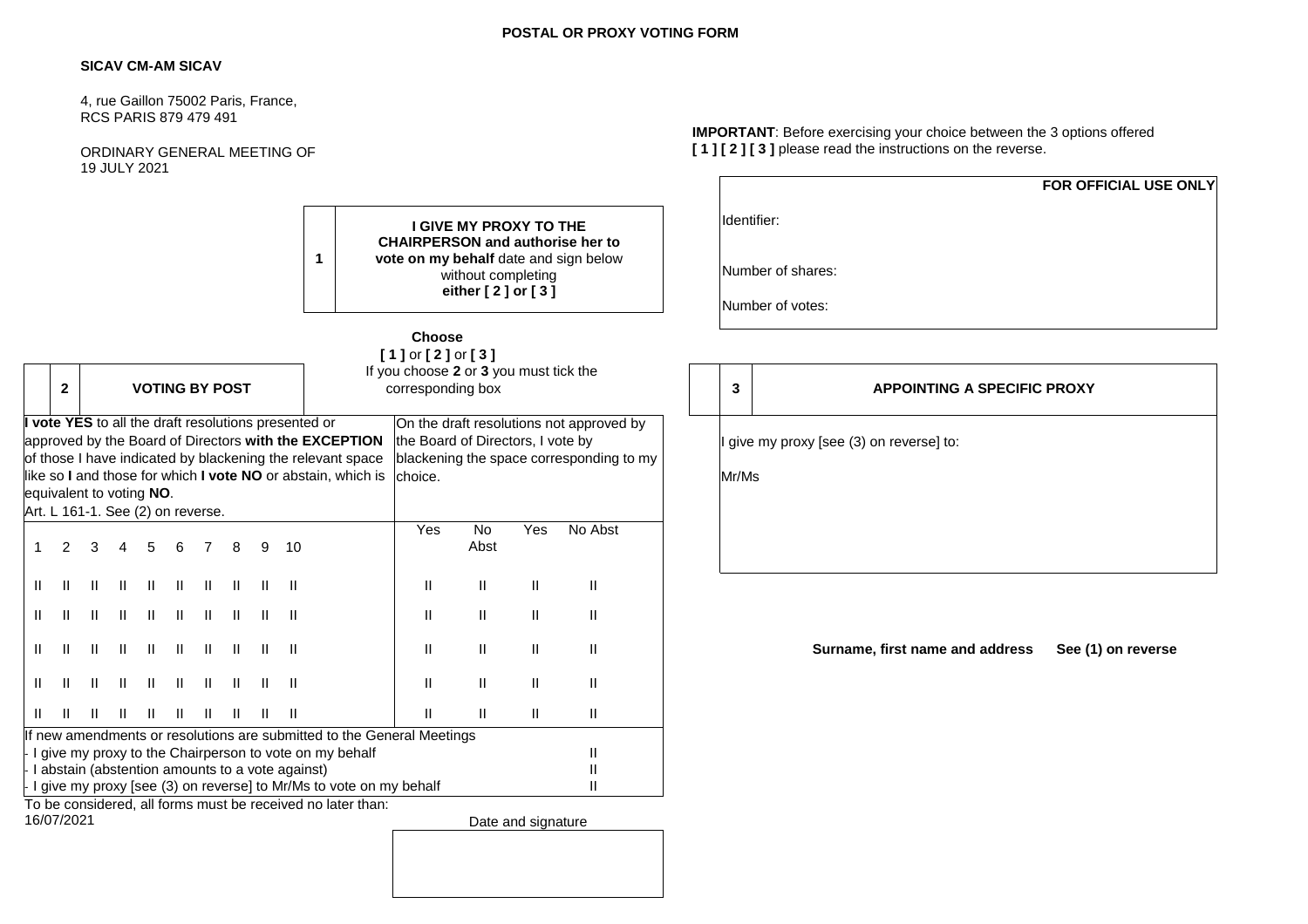## **POSTAL OR PROXY VOTING FORM**

# **SICAV CM-AM SICAV**

4, rue Gaillon 75002 Paris, France, RCS PARIS 879 479 491

ORDINARY GENERAL MEETING OF 19 JULY 2021

Identifier: Number of shares: Number of votes: **1 I GIVE MY PROXY TO THE CHAIRPERSON and authorise her to vote on my behalf** date and sign below without completing **either [ 2 ] or [ 3 ] Choose [ 1 ]** or **[ 2 ]** or **[ 3 ]** If you choose **2** or **3** you must tick the **2 VOTING BY POST 3 Corresponding box Vote YES** to all the draft resolutions presented or approved by the Board of Directors **with the EXCEPTION**  of those I have indicated by blackening the relevant space like so **I** and those for which **I vote NO** or abstain, which is equivalent to voting **NO**. Art. L 161-1. See (2) on reverse. On the draft resolutions not approved the Board of Directors, I vote by blackening the space corresponding to choice. Mr/Ms 1 2 3 4 5 6 7 8 9 10 Yes No Abst Yes No Abst II II II II II II II II II II II II II II II II II II II II II II II II II II II II II II II II II II II II II II II II II II II II II II II II II II II II II II II II II II II II II II II II II II II II II II If new amendments or resolutions are submitted to the General Meetings I give my proxy to the Chairperson to vote on my behalf II I abstain (abstention amounts to a vote against) II abstain  $\Box$  $\frac{1}{2}$  I give my proxy [see (3) on reverse] to Mr/Ms to vote on my behalf II To be considered, all forms must be received no later than:<br>16/07/2021 Date and signature

**IMPORTANT**: Before exercising your choice between the 3 options offered **[ 1 ] [ 2 ] [ 3 ]** please read the instructions on the reverse.

**FOR OFFICIAL USE ONLY**

|                                       |  | Identifier:                                       |                                    |  |
|---------------------------------------|--|---------------------------------------------------|------------------------------------|--|
| Number of shares:<br>Number of votes: |  |                                                   |                                    |  |
|                                       |  | 3                                                 | <b>APPOINTING A SPECIFIC PROXY</b> |  |
| by<br>my כ                            |  | I give my proxy [see (3) on reverse] to:<br>Mr/Ms |                                    |  |
|                                       |  |                                                   |                                    |  |

**Surname, first name and address See (1) on reverse**